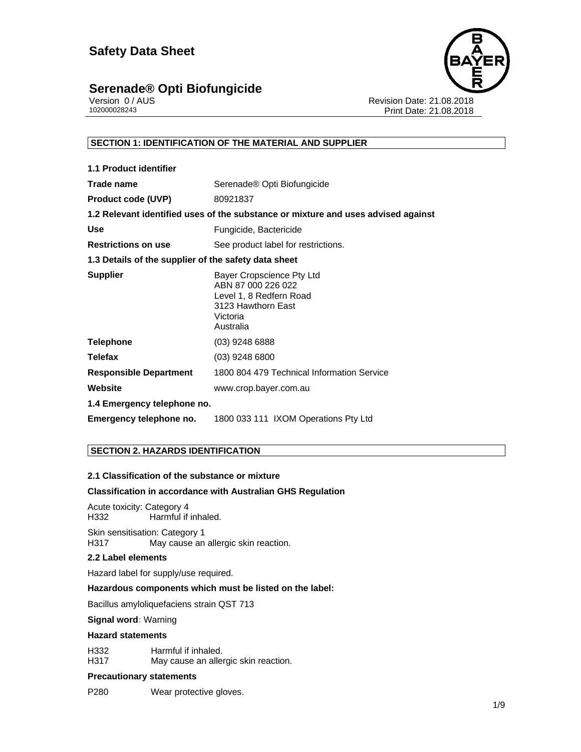

Version 0 / AUS<br>
102000028243<br>
Print Date: 21.08.2018<br>
Print Date: 21.08.2018 Print Date: 21.08.2018

## **SECTION 1: IDENTIFICATION OF THE MATERIAL AND SUPPLIER**

| 1.1 Product identifier                               |                                                                                                                           |
|------------------------------------------------------|---------------------------------------------------------------------------------------------------------------------------|
| Trade name                                           | Serenade <sup>®</sup> Opti Biofungicide                                                                                   |
| <b>Product code (UVP)</b>                            | 80921837                                                                                                                  |
|                                                      | 1.2 Relevant identified uses of the substance or mixture and uses advised against                                         |
| Use                                                  | Fungicide, Bactericide                                                                                                    |
| <b>Restrictions on use</b>                           | See product label for restrictions.                                                                                       |
| 1.3 Details of the supplier of the safety data sheet |                                                                                                                           |
| <b>Supplier</b>                                      | Bayer Cropscience Pty Ltd<br>ABN 87 000 226 022<br>Level 1, 8 Redfern Road<br>3123 Hawthorn East<br>Victoria<br>Australia |
| <b>Telephone</b>                                     | $(03)$ 9248 6888                                                                                                          |
| <b>Telefax</b>                                       | $(03)$ 9248 6800                                                                                                          |
| <b>Responsible Department</b>                        | 1800 804 479 Technical Information Service                                                                                |
| Website                                              | www.crop.bayer.com.au                                                                                                     |
| 1.4 Emergency telephone no.                          |                                                                                                                           |
| Emergency telephone no.                              | 1800 033 111 IXOM Operations Pty Ltd                                                                                      |

## **SECTION 2. HAZARDS IDENTIFICATION**

#### **2.1 Classification of the substance or mixture**

#### **Classification in accordance with Australian GHS Regulation**

Acute toxicity: Category 4 H332 Harmful if inhaled.

Skin sensitisation: Category 1<br>H317 May cause an May cause an allergic skin reaction.

#### **2.2 Label elements**

Hazard label for supply/use required.

#### **Hazardous components which must be listed on the label:**

Bacillus amyloliquefaciens strain QST 713

#### **Signal word:** Warning

#### **Hazard statements**

H332 Harmful if inhaled. H317 May cause an allergic skin reaction.

#### **Precautionary statements**

P280 Wear protective gloves.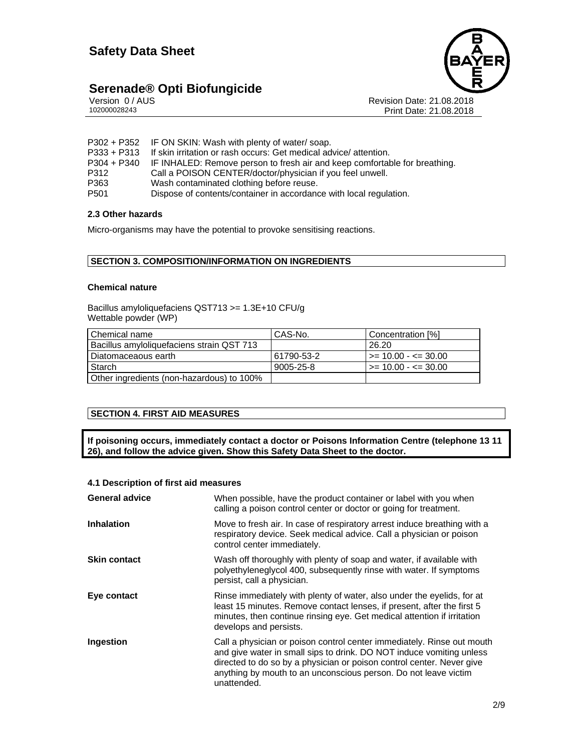

# **Serenade® Opti Biofungicide 2/9**

| Version 0 / AUS |  |
|-----------------|--|
| 102000028243    |  |

 $\mathsf S$  **Propose 21.08.2018** Print Date: 21.08.2018

- P302 + P352 IF ON SKIN: Wash with plenty of water/ soap.
- P333 + P313 If skin irritation or rash occurs: Get medical advice/ attention.
- P304 + P340 IF INHALED: Remove person to fresh air and keep comfortable for breathing.
- P312 Call a POISON CENTER/doctor/physician if you feel unwell.
- P363 Wash contaminated clothing before reuse.<br>P501 Dispose of contents/container in accordance
- Dispose of contents/container in accordance with local regulation.

#### **2.3 Other hazards**

Micro-organisms may have the potential to provoke sensitising reactions.

### **SECTION 3. COMPOSITION/INFORMATION ON INGREDIENTS**

#### **Chemical nature**

Bacillus amyloliquefaciens QST713 >= 1.3E+10 CFU/g Wettable powder (WP)

| l Chemical name                           | CAS-No.    | Concentration [%]             |
|-------------------------------------------|------------|-------------------------------|
| Bacillus amyloliquefaciens strain QST 713 |            | 26.20                         |
| Diatomaceaous earth                       | 61790-53-2 | i >= 10.00 - <= 30.00         |
| Starch                                    | 9005-25-8  | $\ge$ = 10.00 - $\le$ = 30.00 |
| Other ingredients (non-hazardous) to 100% |            |                               |

## **SECTION 4. FIRST AID MEASURES**

**If poisoning occurs, immediately contact a doctor or Poisons Information Centre (telephone 13 11 26), and follow the advice given. Show this Safety Data Sheet to the doctor.** 

### **4.1 Description of first aid measures**

| <b>General advice</b> | When possible, have the product container or label with you when<br>calling a poison control center or doctor or going for treatment.                                                                                                                                                                     |
|-----------------------|-----------------------------------------------------------------------------------------------------------------------------------------------------------------------------------------------------------------------------------------------------------------------------------------------------------|
| <b>Inhalation</b>     | Move to fresh air. In case of respiratory arrest induce breathing with a<br>respiratory device. Seek medical advice. Call a physician or poison<br>control center immediately.                                                                                                                            |
| <b>Skin contact</b>   | Wash off thoroughly with plenty of soap and water, if available with<br>polyethyleneglycol 400, subsequently rinse with water. If symptoms<br>persist, call a physician.                                                                                                                                  |
| Eye contact           | Rinse immediately with plenty of water, also under the eyelids, for at<br>least 15 minutes. Remove contact lenses, if present, after the first 5<br>minutes, then continue rinsing eye. Get medical attention if irritation<br>develops and persists.                                                     |
| Ingestion             | Call a physician or poison control center immediately. Rinse out mouth<br>and give water in small sips to drink. DO NOT induce vomiting unless<br>directed to do so by a physician or poison control center. Never give<br>anything by mouth to an unconscious person. Do not leave victim<br>unattended. |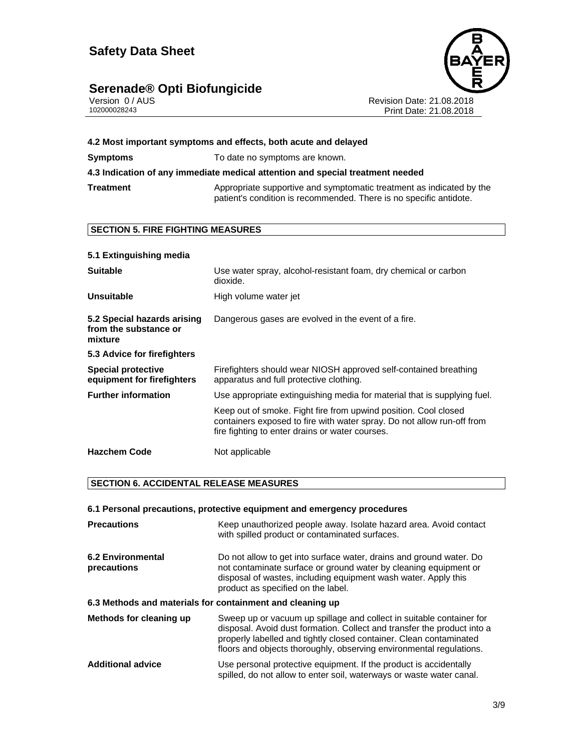# **Serenade® Opti Biofungicide 3/9**



Version 0 / AUS Revision Date: 21.08.2018 102000028243 Print Date: 21.08.2018

| 4.2 Most important symptoms and effects, both acute and delayed |                                                                                                                                                                                              |  |  |
|-----------------------------------------------------------------|----------------------------------------------------------------------------------------------------------------------------------------------------------------------------------------------|--|--|
| <b>Symptoms</b>                                                 | To date no symptoms are known.                                                                                                                                                               |  |  |
|                                                                 | 4.3 Indication of any immediate medical attention and special treatment needed                                                                                                               |  |  |
| <b>Treatment</b>                                                | Appropriate supportive and symptomatic treatment as indicated by the<br>patient's condition is recommended. There is no specific antidote.                                                   |  |  |
| <b>SECTION 5. FIRE FIGHTING MEASURES</b>                        |                                                                                                                                                                                              |  |  |
|                                                                 |                                                                                                                                                                                              |  |  |
| 5.1 Extinguishing media                                         |                                                                                                                                                                                              |  |  |
| <b>Suitable</b>                                                 | Use water spray, alcohol-resistant foam, dry chemical or carbon<br>dioxide.                                                                                                                  |  |  |
| <b>Unsuitable</b>                                               | High volume water jet                                                                                                                                                                        |  |  |
| 5.2 Special hazards arising<br>from the substance or<br>mixture | Dangerous gases are evolved in the event of a fire.                                                                                                                                          |  |  |
| 5.3 Advice for firefighters                                     |                                                                                                                                                                                              |  |  |
| <b>Special protective</b><br>equipment for firefighters         | Firefighters should wear NIOSH approved self-contained breathing<br>apparatus and full protective clothing.                                                                                  |  |  |
| <b>Further information</b>                                      | Use appropriate extinguishing media for material that is supplying fuel.                                                                                                                     |  |  |
|                                                                 | Keep out of smoke. Fight fire from upwind position. Cool closed<br>containers exposed to fire with water spray. Do not allow run-off from<br>fire fighting to enter drains or water courses. |  |  |
| <b>Hazchem Code</b>                                             | Not applicable                                                                                                                                                                               |  |  |

## **SECTION 6. ACCIDENTAL RELEASE MEASURES**

| 6.1 Personal precautions, protective equipment and emergency procedures |                                                                                                                                                                                                                                                                                              |  |
|-------------------------------------------------------------------------|----------------------------------------------------------------------------------------------------------------------------------------------------------------------------------------------------------------------------------------------------------------------------------------------|--|
| <b>Precautions</b>                                                      | Keep unauthorized people away. Isolate hazard area. Avoid contact<br>with spilled product or contaminated surfaces.                                                                                                                                                                          |  |
| 6.2 Environmental<br>precautions                                        | Do not allow to get into surface water, drains and ground water. Do<br>not contaminate surface or ground water by cleaning equipment or<br>disposal of wastes, including equipment wash water. Apply this<br>product as specified on the label.                                              |  |
| 6.3 Methods and materials for containment and cleaning up               |                                                                                                                                                                                                                                                                                              |  |
| Methods for cleaning up                                                 | Sweep up or vacuum up spillage and collect in suitable container for<br>disposal. Avoid dust formation. Collect and transfer the product into a<br>properly labelled and tightly closed container. Clean contaminated<br>floors and objects thoroughly, observing environmental regulations. |  |
| <b>Additional advice</b>                                                | Use personal protective equipment. If the product is accidentally<br>spilled, do not allow to enter soil, waterways or waste water canal.                                                                                                                                                    |  |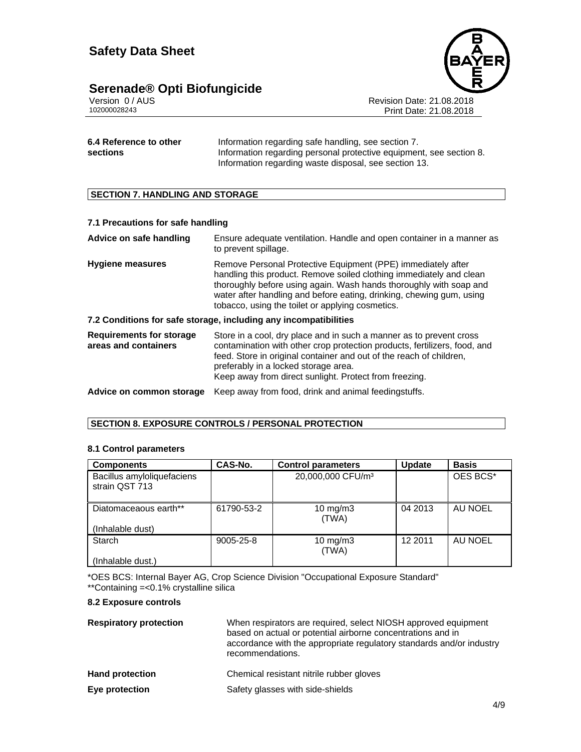

Version 0 / AUS **Revision Date: 21.08.2018**<br>102000028243 Print Date: 21.08.2018 Print Date: 21.08.2018

| 6.4 Reference to other | Information regarding safe handling, see section 7.                 |
|------------------------|---------------------------------------------------------------------|
| sections               | Information regarding personal protective equipment, see section 8. |
|                        | Information regarding waste disposal, see section 13.               |

## **SECTION 7. HANDLING AND STORAGE**

| 7.1 Precautions for safe handling                       |                                                                                                                                                                                                                                                                                                                                       |
|---------------------------------------------------------|---------------------------------------------------------------------------------------------------------------------------------------------------------------------------------------------------------------------------------------------------------------------------------------------------------------------------------------|
| Advice on safe handling                                 | Ensure adequate ventilation. Handle and open container in a manner as<br>to prevent spillage.                                                                                                                                                                                                                                         |
| <b>Hygiene measures</b>                                 | Remove Personal Protective Equipment (PPE) immediately after<br>handling this product. Remove soiled clothing immediately and clean<br>thoroughly before using again. Wash hands thoroughly with soap and<br>water after handling and before eating, drinking, chewing gum, using<br>tobacco, using the toilet or applying cosmetics. |
|                                                         | 7.2 Conditions for safe storage, including any incompatibilities                                                                                                                                                                                                                                                                      |
| <b>Requirements for storage</b><br>areas and containers | Store in a cool, dry place and in such a manner as to prevent cross<br>contamination with other crop protection products, fertilizers, food, and<br>feed. Store in original container and out of the reach of children,<br>preferably in a locked storage area.<br>Keep away from direct sunlight. Protect from freezing.             |
| Advice on common storage                                | Keep away from food, drink and animal feedingstuffs.                                                                                                                                                                                                                                                                                  |

## **SECTION 8. EXPOSURE CONTROLS / PERSONAL PROTECTION**

#### **8.1 Control parameters**

| <b>Components</b>                            | CAS-No.         | <b>Control parameters</b>     | <b>Update</b> | <b>Basis</b> |
|----------------------------------------------|-----------------|-------------------------------|---------------|--------------|
| Bacillus amyloliquefaciens<br>strain QST 713 |                 | 20,000,000 CFU/m <sup>3</sup> |               | OES BCS*     |
| Diatomaceaous earth**                        | 61790-53-2      | $10 \text{ mg/m}$<br>(TWA)    | 04 2013       | AU NOEL      |
| (Inhalable dust)                             |                 |                               |               |              |
| Starch                                       | $9005 - 25 - 8$ | $10$ mg/m $3$<br>(TWA)        | 12 2011       | AU NOEL      |
| (Inhalable dust.)                            |                 |                               |               |              |

\*OES BCS: Internal Bayer AG, Crop Science Division "Occupational Exposure Standard" \*\*Containing =<0.1% crystalline silica

#### **8.2 Exposure controls**

| <b>Respiratory protection</b> | When respirators are required, select NIOSH approved equipment<br>based on actual or potential airborne concentrations and in<br>accordance with the appropriate regulatory standards and/or industry<br>recommendations. |
|-------------------------------|---------------------------------------------------------------------------------------------------------------------------------------------------------------------------------------------------------------------------|
| <b>Hand protection</b>        | Chemical resistant nitrile rubber gloves                                                                                                                                                                                  |
| Eye protection                | Safety glasses with side-shields                                                                                                                                                                                          |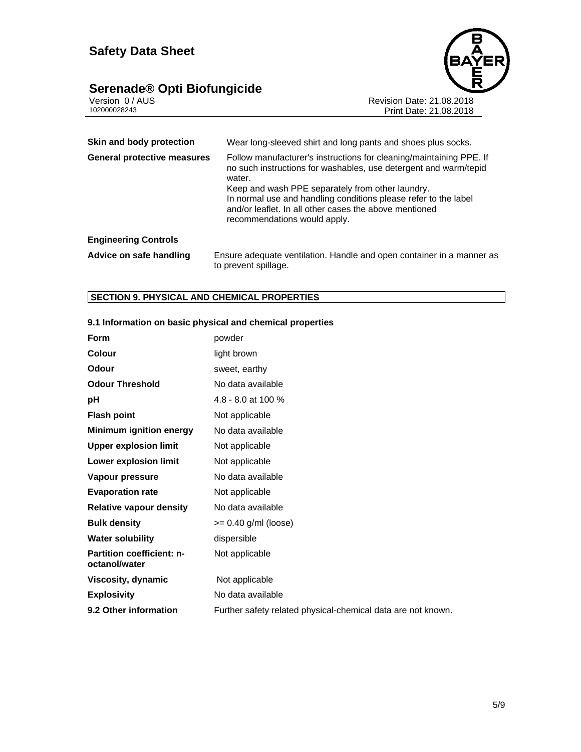# **Serenade® Opti Biofungicide 5/9**



Version 0 / AUS Revision Date: 21.08.2018 102000028243 Print Date: 21.08.2018

| Skin and body protection           | Wear long-sleeved shirt and long pants and shoes plus socks.                                                                                                                                                                                                                                                                                                       |
|------------------------------------|--------------------------------------------------------------------------------------------------------------------------------------------------------------------------------------------------------------------------------------------------------------------------------------------------------------------------------------------------------------------|
| <b>General protective measures</b> | Follow manufacturer's instructions for cleaning/maintaining PPE. If<br>no such instructions for washables, use detergent and warm/tepid<br>water.<br>Keep and wash PPE separately from other laundry.<br>In normal use and handling conditions please refer to the label<br>and/or leaflet. In all other cases the above mentioned<br>recommendations would apply. |
| <b>Engineering Controls</b>        |                                                                                                                                                                                                                                                                                                                                                                    |
| Advice on safe handling            | Ensure adequate ventilation. Handle and open container in a manner as<br>to prevent spillage.                                                                                                                                                                                                                                                                      |

# **SECTION 9. PHYSICAL AND CHEMICAL PROPERTIES**

| Form                                              | powder                                                       |
|---------------------------------------------------|--------------------------------------------------------------|
| Colour                                            | light brown                                                  |
| Odour                                             | sweet, earthy                                                |
| <b>Odour Threshold</b>                            | No data available                                            |
| рH                                                | 4.8 - 8.0 at 100 %                                           |
| <b>Flash point</b>                                | Not applicable                                               |
| <b>Minimum ignition energy</b>                    | No data available                                            |
| <b>Upper explosion limit</b>                      | Not applicable                                               |
| Lower explosion limit                             | Not applicable                                               |
| Vapour pressure                                   | No data available                                            |
| <b>Evaporation rate</b>                           | Not applicable                                               |
| <b>Relative vapour density</b>                    | No data available                                            |
| <b>Bulk density</b>                               | $>= 0.40$ g/ml (loose)                                       |
| <b>Water solubility</b>                           | dispersible                                                  |
| <b>Partition coefficient: n-</b><br>octanol/water | Not applicable                                               |
| Viscosity, dynamic                                | Not applicable                                               |
| <b>Explosivity</b>                                | No data available                                            |
| 9.2 Other information                             | Further safety related physical-chemical data are not known. |

#### **9.1 Information on basic physical and chemical properties**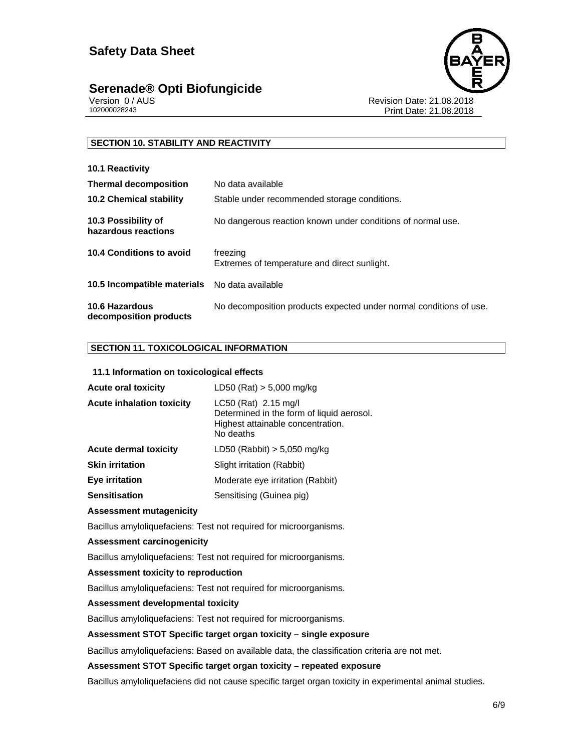# **Serenade® Opti Biofungicide 6/9**



**10.1 Reactivity** 

Version 0 / AUS<br>
102000028243<br>
Print Date: 21.08.2018<br>
Print Date: 21.08.2018 Print Date: 21.08.2018

## **SECTION 10. STABILITY AND REACTIVITY**

| <b>IV.I REACHVILY</b>                                |                                                                    |
|------------------------------------------------------|--------------------------------------------------------------------|
| <b>Thermal decomposition</b>                         | No data available                                                  |
| <b>10.2 Chemical stability</b>                       | Stable under recommended storage conditions.                       |
| 10.3 Possibility of<br>hazardous reactions           | No dangerous reaction known under conditions of normal use.        |
| 10.4 Conditions to avoid                             | freezing<br>Extremes of temperature and direct sunlight.           |
| <b>10.5 Incompatible materials</b> No data available |                                                                    |
| 10.6 Hazardous<br>decomposition products             | No decomposition products expected under normal conditions of use. |

### **SECTION 11. TOXICOLOGICAL INFORMATION**

#### **11.1 Information on toxicological effects**

| <b>Acute oral toxicity</b>       | $LD50$ (Rat) $> 5,000$ mg/kg                                                                                          |
|----------------------------------|-----------------------------------------------------------------------------------------------------------------------|
| <b>Acute inhalation toxicity</b> | $LC50$ (Rat) 2.15 mg/l<br>Determined in the form of liquid aerosol.<br>Highest attainable concentration.<br>No deaths |
| <b>Acute dermal toxicity</b>     | LD50 (Rabbit) $> 5,050$ mg/kg                                                                                         |
| <b>Skin irritation</b>           | Slight irritation (Rabbit)                                                                                            |
| <b>Eye irritation</b>            | Moderate eye irritation (Rabbit)                                                                                      |
| <b>Sensitisation</b>             | Sensitising (Guinea pig)                                                                                              |

#### **Assessment mutagenicity**

Bacillus amyloliquefaciens: Test not required for microorganisms.

#### **Assessment carcinogenicity**

Bacillus amyloliquefaciens: Test not required for microorganisms.

#### **Assessment toxicity to reproduction**

Bacillus amyloliquefaciens: Test not required for microorganisms.

#### **Assessment developmental toxicity**

Bacillus amyloliquefaciens: Test not required for microorganisms.

#### **Assessment STOT Specific target organ toxicity – single exposure**

Bacillus amyloliquefaciens: Based on available data, the classification criteria are not met.

#### **Assessment STOT Specific target organ toxicity – repeated exposure**

Bacillus amyloliquefaciens did not cause specific target organ toxicity in experimental animal studies.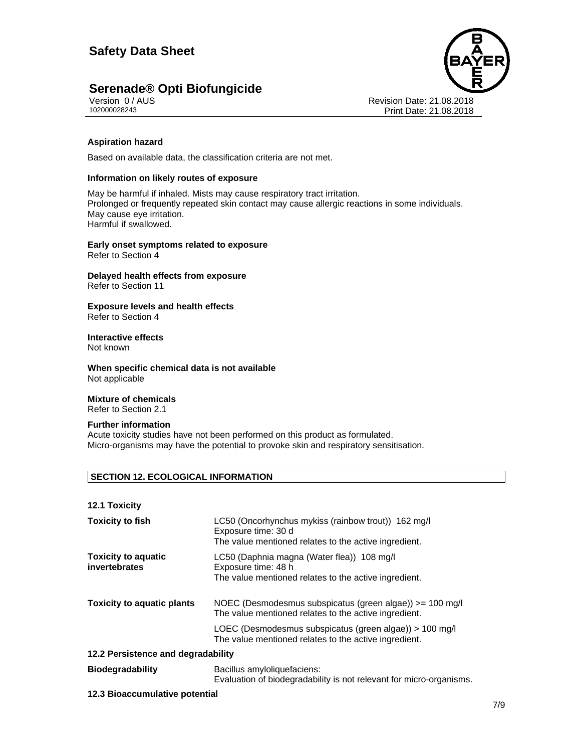

Version 0 / AUS<br>
102000028243<br>
Print Date: 21.08.2018<br>
Print Date: 21.08.2018 Print Date: 21.08.2018

#### **Aspiration hazard**

Based on available data, the classification criteria are not met.

#### **Information on likely routes of exposure**

May be harmful if inhaled. Mists may cause respiratory tract irritation. Prolonged or frequently repeated skin contact may cause allergic reactions in some individuals. May cause eye irritation. Harmful if swallowed.

**Early onset symptoms related to exposure**  Refer to Section 4

**Delayed health effects from exposure**  Refer to Section 11

**Exposure levels and health effects**  Refer to Section 4

# **Interactive effects**

Not known

**When specific chemical data is not available**  Not applicable

#### **Mixture of chemicals**

Refer to Section 2.1

#### **Further information**

Acute toxicity studies have not been performed on this product as formulated. Micro-organisms may have the potential to provoke skin and respiratory sensitisation.

#### **SECTION 12. ECOLOGICAL INFORMATION**

|  | 12.1 Toxicity |
|--|---------------|
|--|---------------|

| <b>Toxicity to fish</b>                     | LC50 (Oncorhynchus mykiss (rainbow trout)) 162 mg/l<br>Exposure time: 30 d<br>The value mentioned relates to the active ingredient. |
|---------------------------------------------|-------------------------------------------------------------------------------------------------------------------------------------|
| <b>Toxicity to aquatic</b><br>invertebrates | LC50 (Daphnia magna (Water flea)) 108 mg/l<br>Exposure time: 48 h<br>The value mentioned relates to the active ingredient.          |
| <b>Toxicity to aquatic plants</b>           | NOEC (Desmodesmus subspicatus (green algae)) >= 100 mg/l<br>The value mentioned relates to the active ingredient.                   |
|                                             | LOEC (Desmodesmus subspicatus (green algae)) > 100 mg/l<br>The value mentioned relates to the active ingredient.                    |
| 12.2 Persistence and degradability          |                                                                                                                                     |
| <b>Biodegradability</b>                     | Bacillus amyloliquefaciens:<br>Evaluation of biodegradability is not relevant for micro-organisms.                                  |
|                                             |                                                                                                                                     |

#### **12.3 Bioaccumulative potential**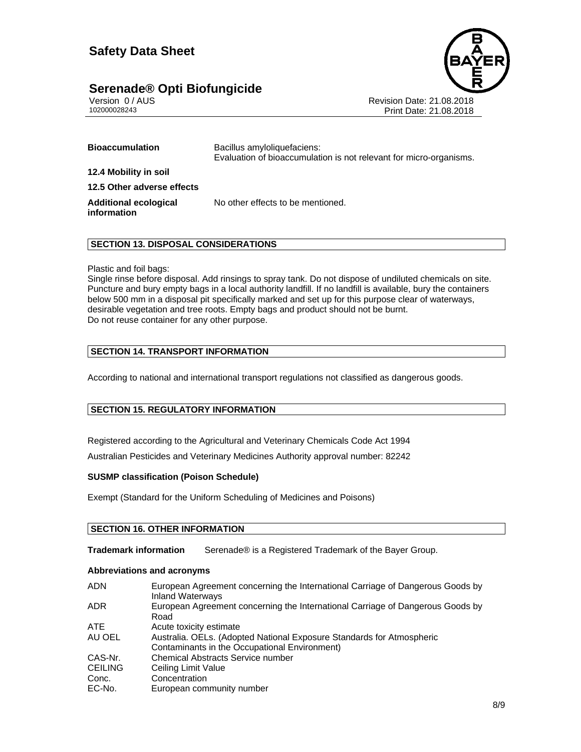# **Serenade® Opti Biofungicide 8/9**



Version 0 / AUS<br>102000028243<br>Print Date: 21.08.2018 Print Date: 21.08.2018

| <b>Bioaccumulation</b>                      | Bacillus amyloliquefaciens:<br>Evaluation of bioaccumulation is not relevant for micro-organisms. |
|---------------------------------------------|---------------------------------------------------------------------------------------------------|
| 12.4 Mobility in soil                       |                                                                                                   |
| 12.5 Other adverse effects                  |                                                                                                   |
| <b>Additional ecological</b><br>information | No other effects to be mentioned.                                                                 |

#### **SECTION 13. DISPOSAL CONSIDERATIONS**

#### Plastic and foil bags:

Single rinse before disposal. Add rinsings to spray tank. Do not dispose of undiluted chemicals on site. Puncture and bury empty bags in a local authority landfill. If no landfill is available, bury the containers below 500 mm in a disposal pit specifically marked and set up for this purpose clear of waterways, desirable vegetation and tree roots. Empty bags and product should not be burnt. Do not reuse container for any other purpose.

### **SECTION 14. TRANSPORT INFORMATION**

According to national and international transport regulations not classified as dangerous goods.

#### **SECTION 15. REGULATORY INFORMATION**

Registered according to the Agricultural and Veterinary Chemicals Code Act 1994

Australian Pesticides and Veterinary Medicines Authority approval number: 82242

#### **SUSMP classification (Poison Schedule)**

Exempt (Standard for the Uniform Scheduling of Medicines and Poisons)

#### **SECTION 16. OTHER INFORMATION**

**Trademark information** Serenade® is a Registered Trademark of the Bayer Group.

#### **Abbreviations and acronyms**

| <b>ADN</b>     | European Agreement concerning the International Carriage of Dangerous Goods by<br><b>Inland Waterways</b> |
|----------------|-----------------------------------------------------------------------------------------------------------|
| ADR.           | European Agreement concerning the International Carriage of Dangerous Goods by<br>Road                    |
| ATE.           | Acute toxicity estimate                                                                                   |
| AU OEL         | Australia. OELs. (Adopted National Exposure Standards for Atmospheric                                     |
|                | Contaminants in the Occupational Environment)                                                             |
| CAS-Nr.        | Chemical Abstracts Service number                                                                         |
| <b>CEILING</b> | Ceiling Limit Value                                                                                       |
| Conc.          | Concentration                                                                                             |
| EC-No.         | European community number                                                                                 |